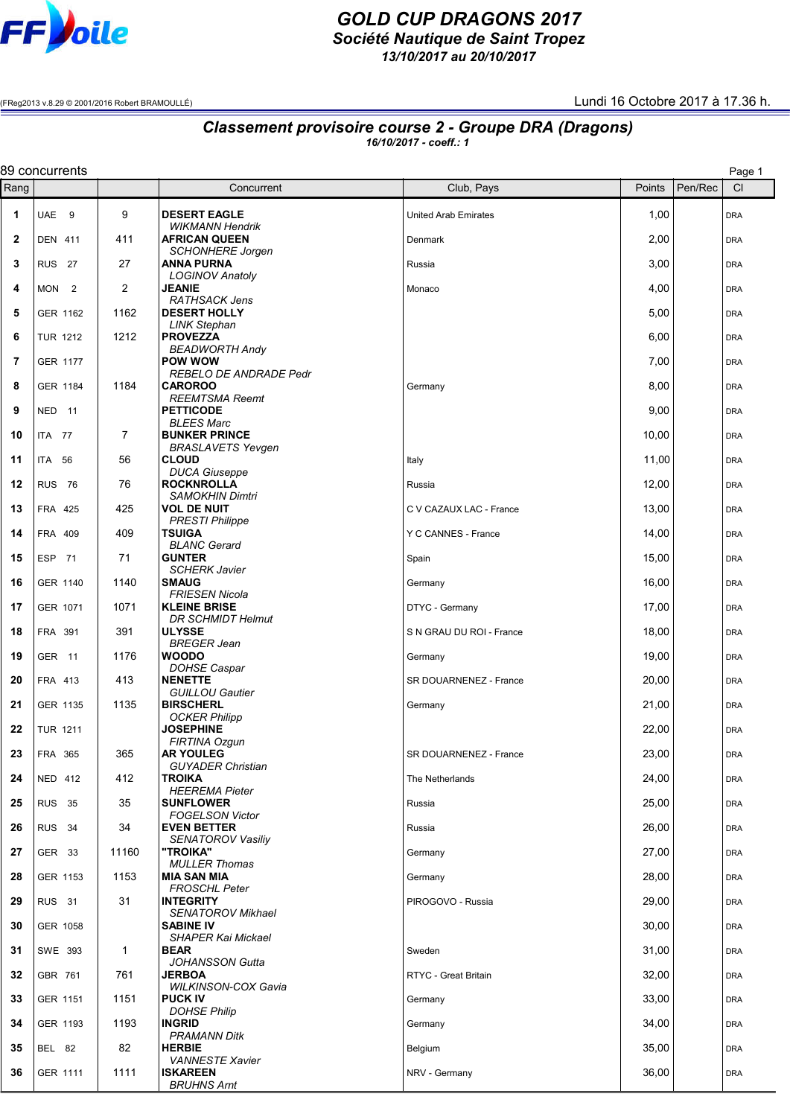

## *GOLD CUP DRAGONS 2017 Société Nautique de Saint Tropez*

*13/10/2017 au 20/10/2017*

(FReg2013 v.8.29 © 2001/2016 Robert BRAMOULLÉ) Lundi 16 Octobre 2017 à 17.36 h.

## *Classement provisoire course 2 - Groupe DRA (Dragons)*

*16/10/2017 - coeff.: 1*

|              | 89 concurrents<br>Page 1 |                |                                                  |                             |        |         |            |  |  |
|--------------|--------------------------|----------------|--------------------------------------------------|-----------------------------|--------|---------|------------|--|--|
| Rang         |                          |                | Concurrent                                       | Club, Pays                  | Points | Pen/Rec | CI         |  |  |
| $\mathbf 1$  | UAE <sub>9</sub>         | 9              | <b>DESERT EAGLE</b><br><b>WIKMANN Hendrik</b>    | <b>United Arab Emirates</b> | 1,00   |         | <b>DRA</b> |  |  |
| $\mathbf{2}$ | <b>DEN 411</b>           | 411            | <b>AFRICAN QUEEN</b><br><b>SCHONHERE Jorgen</b>  | Denmark                     | 2,00   |         | <b>DRA</b> |  |  |
| 3            | <b>RUS</b> 27            | 27             | <b>ANNA PURNA</b><br><b>LOGINOV Anatoly</b>      | Russia                      | 3,00   |         | <b>DRA</b> |  |  |
| 4            | MON <sub>2</sub>         | 2              | <b>JEANIE</b><br><b>RATHSACK Jens</b>            | Monaco                      | 4,00   |         | <b>DRA</b> |  |  |
| 5            | GER 1162                 | 1162           | <b>DESERT HOLLY</b><br><b>LINK Stephan</b>       |                             | 5,00   |         | <b>DRA</b> |  |  |
| 6            | <b>TUR 1212</b>          | 1212           | <b>PROVEZZA</b><br><b>BEADWORTH Andy</b>         |                             | 6,00   |         | <b>DRA</b> |  |  |
| 7            | <b>GER 1177</b>          |                | <b>POW WOW</b><br><b>REBELO DE ANDRADE Pedr</b>  |                             | 7,00   |         | <b>DRA</b> |  |  |
| 8            | GER 1184                 | 1184           | <b>CAROROO</b><br><b>REEMTSMA Reemt</b>          | Germany                     | 8,00   |         | <b>DRA</b> |  |  |
| 9            | NED 11                   |                | <b>PETTICODE</b><br><b>BLEES Marc</b>            |                             | 9,00   |         | <b>DRA</b> |  |  |
| 10           | ITA 77                   | $\overline{7}$ | <b>BUNKER PRINCE</b><br><b>BRASLAVETS Yevgen</b> |                             | 10,00  |         | <b>DRA</b> |  |  |
| 11           | <b>ITA 56</b>            | 56             | <b>CLOUD</b><br><b>DUCA Giuseppe</b>             | Italy                       | 11,00  |         | <b>DRA</b> |  |  |
| 12           | <b>RUS 76</b>            | 76             | <b>ROCKNROLLA</b><br><b>SAMOKHIN Dimtri</b>      | Russia                      | 12,00  |         | <b>DRA</b> |  |  |
| 13           | FRA 425                  | 425            | <b>VOL DE NUIT</b><br><b>PRESTI Philippe</b>     | C V CAZAUX LAC - France     | 13,00  |         | <b>DRA</b> |  |  |
| 14           | FRA 409                  | 409            | <b>TSUIGA</b><br><b>BLANC Gerard</b>             | Y C CANNES - France         | 14,00  |         | <b>DRA</b> |  |  |
| 15           | ESP 71                   | 71             | <b>GUNTER</b><br><b>SCHERK Javier</b>            | Spain                       | 15,00  |         | <b>DRA</b> |  |  |
| 16           | GER 1140                 | 1140           | <b>SMAUG</b><br><b>FRIESEN Nicola</b>            | Germany                     | 16,00  |         | <b>DRA</b> |  |  |
| 17           | GER 1071                 | 1071           | <b>KLEINE BRISE</b><br><b>DR SCHMIDT Helmut</b>  | DTYC - Germany              | 17,00  |         | <b>DRA</b> |  |  |
| 18           | FRA 391                  | 391            | <b>ULYSSE</b><br><b>BREGER Jean</b>              | S N GRAU DU ROI - France    | 18,00  |         | <b>DRA</b> |  |  |
| 19           | GER <sub>11</sub>        | 1176           | <b>WOODO</b><br><b>DOHSE Caspar</b>              | Germany                     | 19,00  |         | <b>DRA</b> |  |  |
| 20           | FRA 413                  | 413            | <b>NENETTE</b><br><b>GUILLOU Gautier</b>         | SR DOUARNENEZ - France      | 20,00  |         | <b>DRA</b> |  |  |
| 21           | GER 1135                 | 1135           | <b>BIRSCHERL</b><br><b>OCKER Philipp</b>         | Germany                     | 21,00  |         | <b>DRA</b> |  |  |
| 22           | <b>TUR 1211</b>          |                | <b>JOSEPHINE</b><br>FIRTINA Ozgun                |                             | 22,00  |         | <b>DRA</b> |  |  |
| 23           | FRA 365                  | 365            | <b>AR YOULEG</b><br><b>GUYADER Christian</b>     | SR DOUARNENEZ - France      | 23,00  |         | <b>DRA</b> |  |  |
| 24           | <b>NED 412</b>           | 412            | <b>TROIKA</b><br><b>HEEREMA Pieter</b>           | The Netherlands             | 24,00  |         | <b>DRA</b> |  |  |
| 25           | <b>RUS 35</b>            | 35             | <b>SUNFLOWER</b><br><b>FOGELSON Victor</b>       | Russia                      | 25,00  |         | <b>DRA</b> |  |  |
| 26           | RUS <sub>34</sub>        | 34             | <b>EVEN BETTER</b><br><b>SENATOROV Vasiliy</b>   | Russia                      | 26,00  |         | <b>DRA</b> |  |  |
| 27           | GER 33                   | 11160          | "TROIKA"<br><b>MULLER Thomas</b>                 | Germany                     | 27,00  |         | <b>DRA</b> |  |  |
| 28           | GER 1153                 | 1153           | <b>MIA SAN MIA</b><br><b>FROSCHL Peter</b>       | Germany                     | 28,00  |         | <b>DRA</b> |  |  |
| 29           | <b>RUS</b> 31            | 31             | <b>INTEGRITY</b><br><b>SENATOROV Mikhael</b>     | PIROGOVO - Russia           | 29,00  |         | <b>DRA</b> |  |  |
| 30           | GER 1058                 |                | <b>SABINE IV</b><br><b>SHAPER Kai Mickael</b>    |                             | 30,00  |         | <b>DRA</b> |  |  |
| 31           | SWE 393                  | 1              | <b>BEAR</b><br><b>JOHANSSON Gutta</b>            | Sweden                      | 31,00  |         | <b>DRA</b> |  |  |
| 32           | GBR 761                  | 761            | <b>JERBOA</b><br><b>WILKINSON-COX Gavia</b>      | RTYC - Great Britain        | 32,00  |         | <b>DRA</b> |  |  |
| 33           | GER 1151                 | 1151           | <b>PUCK IV</b><br><b>DOHSE Philip</b>            | Germany                     | 33,00  |         | <b>DRA</b> |  |  |
| 34           | GER 1193                 | 1193           | <b>INGRID</b><br>PRAMANN Ditk                    | Germany                     | 34,00  |         | <b>DRA</b> |  |  |
| 35           | <b>BEL 82</b>            | 82             | <b>HERBIE</b><br><b>VANNESTE Xavier</b>          | Belgium                     | 35,00  |         | <b>DRA</b> |  |  |
| 36           | GER 1111                 | 1111           | <b>ISKAREEN</b><br><b>BRUHNS Arnt</b>            | NRV - Germany               | 36,00  |         | <b>DRA</b> |  |  |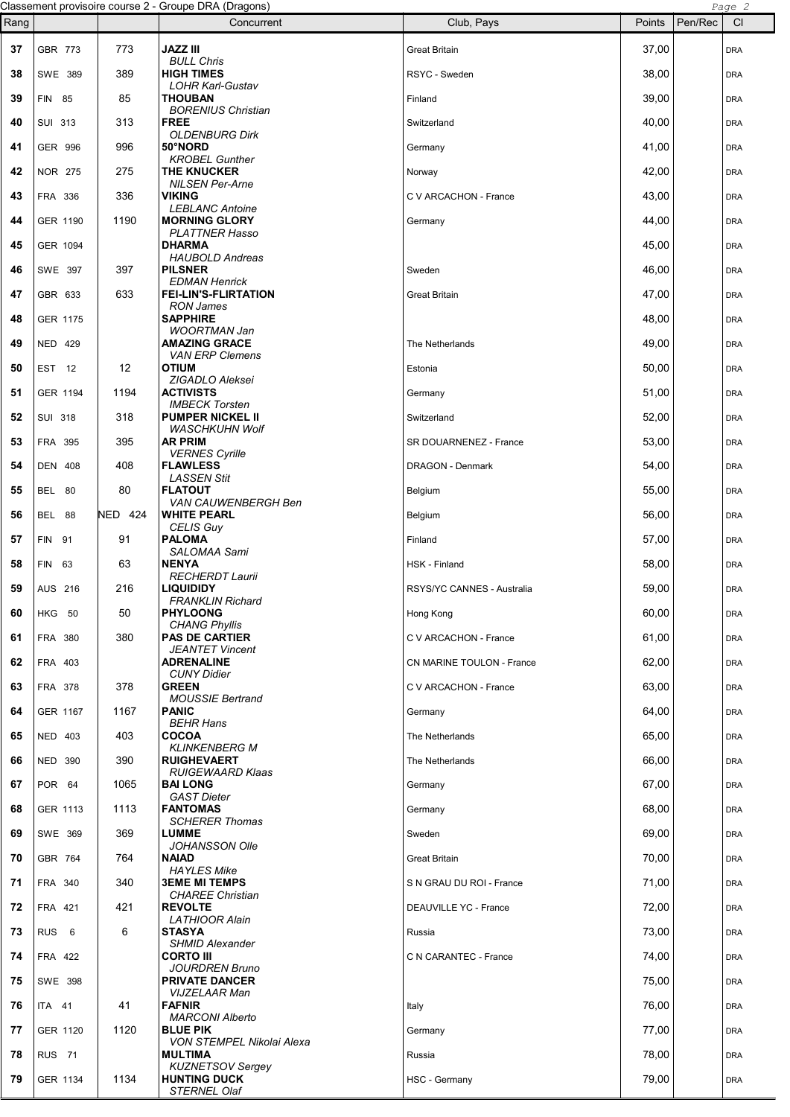|          |                                  |                | Classement provisoire course 2 - Groupe DRA (Dragons)    |                                    |                |         | Page 2                   |
|----------|----------------------------------|----------------|----------------------------------------------------------|------------------------------------|----------------|---------|--------------------------|
| Rang     |                                  |                | Concurrent                                               | Club, Pays                         | Points         | Pen/Rec | CI                       |
| 37       | GBR 773                          | 773            | JAZZ III<br><b>BULL Chris</b>                            | <b>Great Britain</b>               | 37,00          |         | <b>DRA</b>               |
| 38       | SWE 389                          | 389            | <b>HIGH TIMES</b>                                        | RSYC - Sweden                      | 38,00          |         | <b>DRA</b>               |
| 39       | FIN 85                           | 85             | <b>LOHR Karl-Gustav</b><br>THOUBAN                       | Finland                            | 39,00          |         | <b>DRA</b>               |
| 40       | SUI 313                          | 313            | <b>BORENIUS Christian</b><br><b>FREE</b>                 | Switzerland                        | 40,00          |         | <b>DRA</b>               |
| 41       | GER 996                          | 996            | <b>OLDENBURG Dirk</b><br>50°NORD                         | Germany                            | 41,00          |         | <b>DRA</b>               |
| 42       | <b>NOR 275</b>                   | 275            | <b>KROBEL Gunther</b><br><b>THE KNUCKER</b>              | Norway                             | 42,00          |         | <b>DRA</b>               |
| 43       | FRA 336                          | 336            | <b>NILSEN Per-Arne</b><br><b>VIKING</b>                  | C V ARCACHON - France              | 43,00          |         | <b>DRA</b>               |
| 44       | GER 1190                         | 1190           | <b>LEBLANC Antoine</b><br><b>MORNING GLORY</b>           | Germany                            | 44,00          |         | <b>DRA</b>               |
| 45       | GER 1094                         |                | <b>PLATTNER Hasso</b><br><b>DHARMA</b>                   |                                    | 45,00          |         | <b>DRA</b>               |
| 46       | SWE 397                          | 397            | <b>HAUBOLD Andreas</b><br><b>PILSNER</b>                 | Sweden                             | 46,00          |         | <b>DRA</b>               |
| 47       | GBR 633                          | 633            | <b>EDMAN Henrick</b><br><b>FEI-LIN'S-FLIRTATION</b>      | <b>Great Britain</b>               | 47,00          |         | <b>DRA</b>               |
| 48       | GER 1175                         |                | <b>RON James</b><br><b>SAPPHIRE</b>                      |                                    | 48,00          |         | <b>DRA</b>               |
| 49       | <b>NED 429</b>                   |                | <b>WOORTMAN Jan</b><br><b>AMAZING GRACE</b>              | The Netherlands                    | 49,00          |         | <b>DRA</b>               |
| 50       | EST 12                           | 12             | <b>VAN ERP Clemens</b><br>OTIUM                          | Estonia                            | 50,00          |         | <b>DRA</b>               |
| 51       | GER 1194                         | 1194           | ZIGADLO Aleksei<br><b>ACTIVISTS</b>                      | Germany                            | 51,00          |         | <b>DRA</b>               |
| 52       | <b>SUI 318</b>                   | 318            | <b>IMBECK Torsten</b><br><b>PUMPER NICKEL II</b>         | Switzerland                        | 52,00          |         | <b>DRA</b>               |
| 53       | FRA 395                          | 395            | <b>WASCHKUHN Wolf</b><br><b>AR PRIM</b>                  | SR DOUARNENEZ - France             | 53,00          |         | <b>DRA</b>               |
| 54       | <b>DEN 408</b>                   | 408            | <b>VERNES Cyrille</b><br><b>FLAWLESS</b>                 | DRAGON - Denmark                   | 54,00          |         | <b>DRA</b>               |
| 55       | BEL 80                           | 80             | <b>LASSEN Stit</b><br><b>FLATOUT</b>                     | Belgium                            | 55,00          |         | <b>DRA</b>               |
| 56       | BEL 88                           | <b>NED 424</b> | VAN CAUWENBERGH Ben<br><b>WHITE PEARL</b>                | Belgium                            | 56,00          |         | <b>DRA</b>               |
| 57       | FIN 91                           | 91             | <b>CELIS Guy</b><br><b>PALOMA</b>                        | Finland                            | 57,00          |         | <b>DRA</b>               |
| 58       | FIN 63                           | 63             | <b>SALOMAA Sami</b><br><b>NENYA</b>                      | HSK - Finland                      | 58,00          |         | <b>DRA</b>               |
| 59       | AUS 216                          | 216            | <b>RECHERDT Laurii</b><br><b>LIQUIDIDY</b>               | RSYS/YC CANNES - Australia         | 59,00          |         | <b>DRA</b>               |
| 60       | <b>HKG 50</b>                    | 50             | FRANKLIN Richard<br><b>PHYLOONG</b>                      |                                    | 60,00          |         |                          |
| 61       | FRA 380                          | 380            | <b>CHANG Phyllis</b><br><b>PAS DE CARTIER</b>            | Hong Kong<br>C V ARCACHON - France | 61,00          |         | <b>DRA</b><br><b>DRA</b> |
| 62       | FRA 403                          |                | <b>JEANTET Vincent</b><br><b>ADRENALINE</b>              | CN MARINE TOULON - France          | 62,00          |         | <b>DRA</b>               |
| 63       | FRA 378                          | 378            | <b>CUNY Didier</b><br><b>GREEN</b>                       | C V ARCACHON - France              | 63,00          |         | <b>DRA</b>               |
| 64       | <b>GER 1167</b>                  | 1167           | <b>MOUSSIE Bertrand</b><br><b>PANIC</b>                  |                                    | 64,00          |         | <b>DRA</b>               |
|          |                                  |                | <b>BEHR Hans</b><br><b>COCOA</b>                         | Germany                            |                |         |                          |
| 65<br>66 | <b>NED 403</b><br><b>NED 390</b> | 403<br>390     | <b>KLINKENBERG M</b><br><b>RUIGHEVAERT</b>               | The Netherlands<br>The Netherlands | 65,00<br>66,00 |         | <b>DRA</b>               |
|          |                                  |                | <b>RUIGEWAARD Klaas</b>                                  |                                    |                |         | <b>DRA</b>               |
| 67       | POR 64                           | 1065           | <b>BAI LONG</b><br><b>GAST Dieter</b><br><b>FANTOMAS</b> | Germany                            | 67,00          |         | <b>DRA</b>               |
| 68       | GER 1113                         | 1113           | <b>SCHERER Thomas</b>                                    | Germany                            | 68,00          |         | <b>DRA</b>               |
| 69       | SWE 369                          | 369            | <b>LUMME</b><br><b>JOHANSSON Olle</b>                    | Sweden                             | 69,00          |         | <b>DRA</b>               |
| 70       | GBR 764                          | 764            | <b>NAIAD</b><br><b>HAYLES Mike</b>                       | <b>Great Britain</b>               | 70,00          |         | <b>DRA</b>               |
| 71       | FRA 340                          | 340            | <b>3EME MI TEMPS</b><br><b>CHAREE Christian</b>          | S N GRAU DU ROI - France           | 71,00          |         | <b>DRA</b>               |
| 72       | FRA 421                          | 421            | <b>REVOLTE</b><br><b>LATHIOOR Alain</b>                  | DEAUVILLE YC - France              | 72,00          |         | <b>DRA</b>               |
| 73       | RUS <sub>6</sub>                 | 6              | <b>STASYA</b><br><b>SHMID Alexander</b>                  | Russia                             | 73,00          |         | <b>DRA</b>               |
| 74       | FRA 422                          |                | <b>CORTO III</b><br><b>JOURDREN Bruno</b>                | C N CARANTEC - France              | 74,00          |         | <b>DRA</b>               |
| 75       | SWE 398                          |                | <b>PRIVATE DANCER</b><br><b>VIJZELAAR Man</b>            |                                    | 75,00          |         | <b>DRA</b>               |
| 76       | <b>ITA 41</b>                    | 41             | <b>FAFNIR</b><br><b>MARCONI Alberto</b>                  | Italy                              | 76,00          |         | <b>DRA</b>               |
| 77       | GER 1120                         | 1120           | <b>BLUE PIK</b><br>VON STEMPEL Nikolai Alexa             | Germany                            | 77,00          |         | <b>DRA</b>               |
| 78       | <b>RUS</b> 71                    |                | <b>MULTIMA</b><br><b>KUZNETSOV Sergey</b>                | Russia                             | 78,00          |         | <b>DRA</b>               |
| 79       | GER 1134                         | 1134           | <b>HUNTING DUCK</b><br>STERNEL Olaf                      | HSC - Germany                      | 79,00          |         | <b>DRA</b>               |